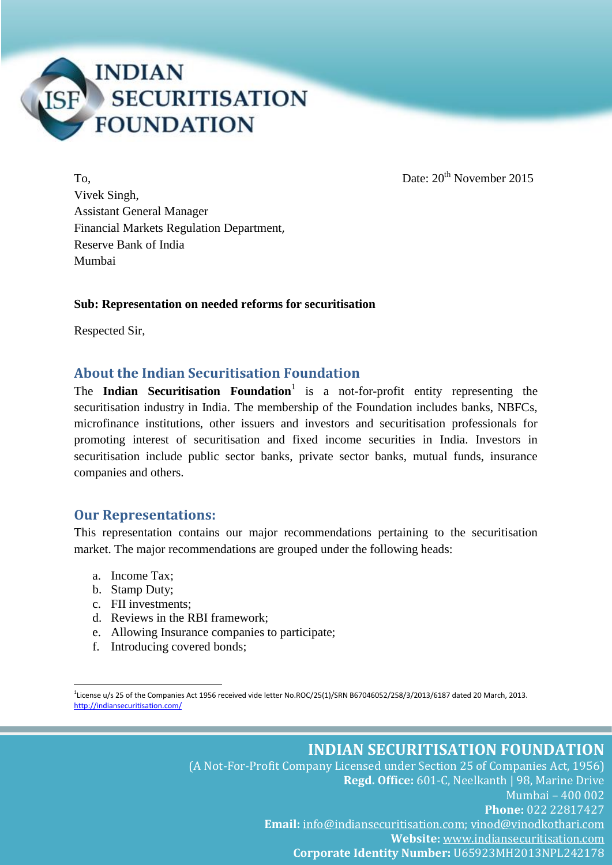

To, Date: 20th November 2015

Vivek Singh, Assistant General Manager Financial Markets Regulation Department, Reserve Bank of India Mumbai

#### **Sub: Representation on needed reforms for securitisation**

Respected Sir,

#### **About the Indian Securitisation Foundation**

The **Indian Securitisation Foundation**<sup>1</sup> is a not-for-profit entity representing the securitisation industry in India. The membership of the Foundation includes banks, NBFCs, microfinance institutions, other issuers and investors and securitisation professionals for promoting interest of securitisation and fixed income securities in India. Investors in securitisation include public sector banks, private sector banks, mutual funds, insurance companies and others.

#### **Our Representations:**

This representation contains our major recommendations pertaining to the securitisation market. The major recommendations are grouped under the following heads:

- a. Income Tax;
- b. Stamp Duty;

1

- c. FII investments;
- d. Reviews in the RBI framework;
- e. Allowing Insurance companies to participate;
- f. Introducing covered bonds;

<sup>1</sup> License u/s 25 of the Companies Act 1956 received vide letter No.ROC/25(1)/SRN B67046052/258/3/2013/6187 dated 20 March, 2013. <http://indiansecuritisation.com/>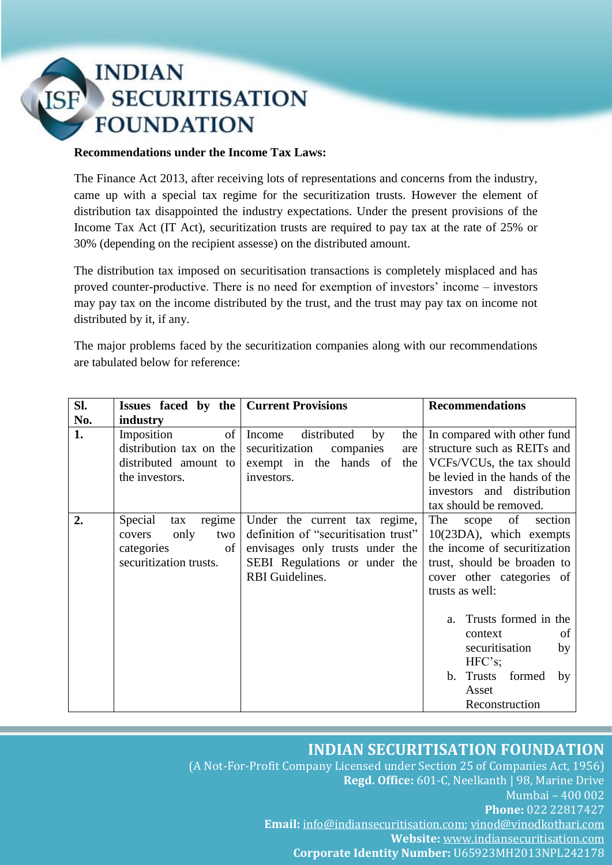#### **Recommendations under the Income Tax Laws:**

The Finance Act 2013, after receiving lots of representations and concerns from the industry, came up with a special tax regime for the securitization trusts. However the element of distribution tax disappointed the industry expectations. Under the present provisions of the Income Tax Act (IT Act), securitization trusts are required to pay tax at the rate of 25% or 30% (depending on the recipient assesse) on the distributed amount.

The distribution tax imposed on securitisation transactions is completely misplaced and has proved counter-productive. There is no need for exemption of investors' income – investors may pay tax on the income distributed by the trust, and the trust may pay tax on income not distributed by it, if any.

The major problems faced by the securitization companies along with our recommendations are tabulated below for reference:

| Sl. | Issues faced by the   Current Provisions                                                        |                                                                                                                                                                     | <b>Recommendations</b>                                                                                                                                                                       |
|-----|-------------------------------------------------------------------------------------------------|---------------------------------------------------------------------------------------------------------------------------------------------------------------------|----------------------------------------------------------------------------------------------------------------------------------------------------------------------------------------------|
| No. | industry                                                                                        |                                                                                                                                                                     |                                                                                                                                                                                              |
| 1.  | of<br>Imposition<br>distribution tax on the<br>distributed amount to<br>the investors.          | distributed<br>Income<br>by<br>the<br>securitization<br>companies<br>are<br>exempt in the hands of the<br>investors.                                                | In compared with other fund<br>structure such as REITs and<br>VCFs/VCUs, the tax should<br>be levied in the hands of the<br>investors and distribution<br>tax should be removed.             |
| 2.  | Special<br>regime<br>tax<br>only<br>two<br>covers<br>categories<br>of<br>securitization trusts. | Under the current tax regime,<br>definition of "securitisation trust"<br>envisages only trusts under the<br>SEBI Regulations or under the<br><b>RBI</b> Guidelines. | The<br>scope of<br>section<br>10(23DA), which exempts<br>the income of securitization<br>trust, should be broaden to<br>cover other categories of<br>trusts as well:<br>Trusts formed in the |
|     |                                                                                                 |                                                                                                                                                                     | a.<br>of<br>context<br>securitisation<br>by<br>HFC's;<br>b. Trusts formed<br>by<br>Asset<br>Reconstruction                                                                                   |

### **INDIAN SECURITISATION FOUNDATION**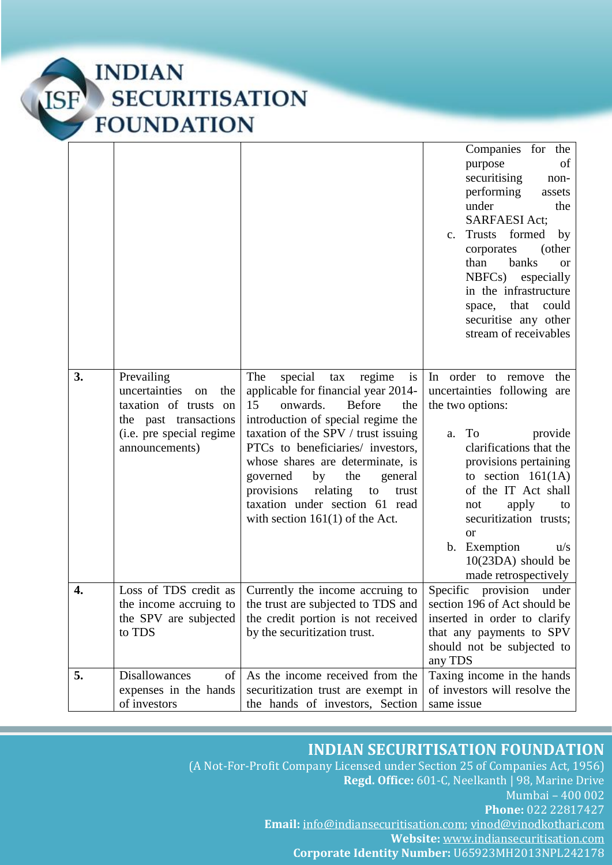|    |                                                                                                                                          |                                                                                                                                                                                                                                                                                                                                                                                                                                  | Companies for the<br>purpose<br>of<br>securitising<br>non-<br>performing<br>assets<br>under<br>the<br><b>SARFAESI Act;</b><br>Trusts<br>formed<br>by<br>$\mathbf{c}$ .<br>(other<br>corporates<br>banks<br>than<br><b>or</b><br>NBFCs)<br>especially<br>in the infrastructure<br>space, that<br>could<br>securitise any other<br>stream of receivables |
|----|------------------------------------------------------------------------------------------------------------------------------------------|----------------------------------------------------------------------------------------------------------------------------------------------------------------------------------------------------------------------------------------------------------------------------------------------------------------------------------------------------------------------------------------------------------------------------------|--------------------------------------------------------------------------------------------------------------------------------------------------------------------------------------------------------------------------------------------------------------------------------------------------------------------------------------------------------|
| 3. | Prevailing<br>uncertainties<br>the<br>on<br>taxation of trusts on<br>the past transactions<br>(i.e. pre special regime<br>announcements) | The<br>special<br>tax<br>regime<br>is<br>applicable for financial year 2014-<br>15<br>onwards.<br><b>Before</b><br>the<br>introduction of special regime the<br>taxation of the SPV / trust issuing<br>PTCs to beneficiaries/ investors,<br>whose shares are determinate, is<br>governed<br>the<br>by<br>general<br>provisions<br>relating<br>to<br>trust<br>taxation under section 61 read<br>with section $161(1)$ of the Act. | In order to remove<br>the<br>uncertainties following are<br>the two options:<br>To<br>provide<br>a.<br>clarifications that the<br>provisions pertaining<br>to section $161(1A)$<br>of the IT Act shall<br>apply<br>to<br>not<br>securitization trusts;<br><b>or</b><br>b. Exemption<br>u/s<br>10(23DA) should be<br>made retrospectively               |
| 4. | Loss of TDS credit as<br>the income accruing to<br>the SPV are subjected<br>to TDS                                                       | Currently the income accruing to<br>the trust are subjected to TDS and<br>the credit portion is not received<br>by the securitization trust.                                                                                                                                                                                                                                                                                     | Specific<br>provision<br>under<br>section 196 of Act should be<br>inserted in order to clarify<br>that any payments to SPV<br>should not be subjected to<br>any TDS                                                                                                                                                                                    |
| 5. | of<br><b>Disallowances</b><br>expenses in the hands<br>of investors                                                                      | As the income received from the<br>securitization trust are exempt in<br>the hands of investors, Section                                                                                                                                                                                                                                                                                                                         | Taxing income in the hands<br>of investors will resolve the<br>same issue                                                                                                                                                                                                                                                                              |

# **INDIAN SECURITISATION FOUNDATION**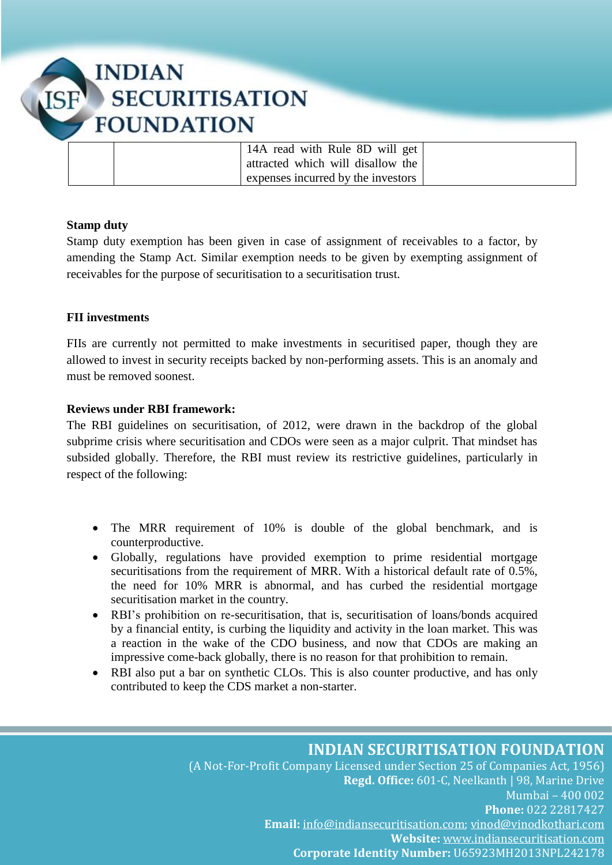| 14A read with Rule 8D will get     |  |
|------------------------------------|--|
| attracted which will disallow the  |  |
| expenses incurred by the investors |  |

#### **Stamp duty**

Stamp duty exemption has been given in case of assignment of receivables to a factor, by amending the Stamp Act. Similar exemption needs to be given by exempting assignment of receivables for the purpose of securitisation to a securitisation trust.

#### **FII investments**

FIIs are currently not permitted to make investments in securitised paper, though they are allowed to invest in security receipts backed by non-performing assets. This is an anomaly and must be removed soonest.

#### **Reviews under RBI framework:**

The RBI guidelines on securitisation, of 2012, were drawn in the backdrop of the global subprime crisis where securitisation and CDOs were seen as a major culprit. That mindset has subsided globally. Therefore, the RBI must review its restrictive guidelines, particularly in respect of the following:

- The MRR requirement of 10% is double of the global benchmark, and is counterproductive.
- Globally, regulations have provided exemption to prime residential mortgage securitisations from the requirement of MRR. With a historical default rate of 0.5%, the need for 10% MRR is abnormal, and has curbed the residential mortgage securitisation market in the country.
- RBI's prohibition on re-securitisation, that is, securitisation of loans/bonds acquired by a financial entity, is curbing the liquidity and activity in the loan market. This was a reaction in the wake of the CDO business, and now that CDOs are making an impressive come-back globally, there is no reason for that prohibition to remain.
- RBI also put a bar on synthetic CLOs. This is also counter productive, and has only contributed to keep the CDS market a non-starter.

#### **INDIAN SECURITISATION FOUNDATION**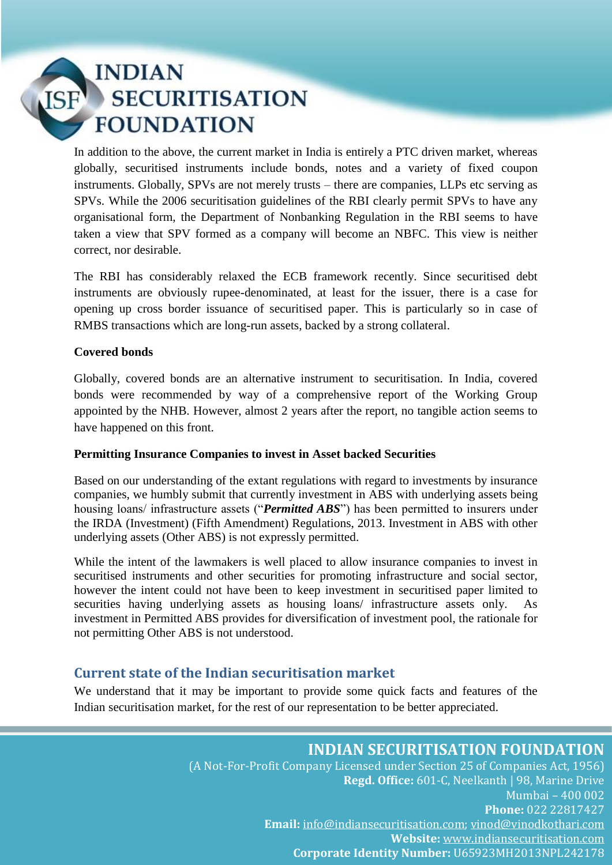In addition to the above, the current market in India is entirely a PTC driven market, whereas globally, securitised instruments include bonds, notes and a variety of fixed coupon instruments. Globally, SPVs are not merely trusts – there are companies, LLPs etc serving as SPVs. While the 2006 securitisation guidelines of the RBI clearly permit SPVs to have any organisational form, the Department of Nonbanking Regulation in the RBI seems to have taken a view that SPV formed as a company will become an NBFC. This view is neither correct, nor desirable.

The RBI has considerably relaxed the ECB framework recently. Since securitised debt instruments are obviously rupee-denominated, at least for the issuer, there is a case for opening up cross border issuance of securitised paper. This is particularly so in case of RMBS transactions which are long-run assets, backed by a strong collateral.

#### **Covered bonds**

Globally, covered bonds are an alternative instrument to securitisation. In India, covered bonds were recommended by way of a comprehensive report of the Working Group appointed by the NHB. However, almost 2 years after the report, no tangible action seems to have happened on this front.

#### **Permitting Insurance Companies to invest in Asset backed Securities**

Based on our understanding of the extant regulations with regard to investments by insurance companies, we humbly submit that currently investment in ABS with underlying assets being housing loans/ infrastructure assets ("*Permitted ABS*") has been permitted to insurers under the IRDA (Investment) (Fifth Amendment) Regulations, 2013. Investment in ABS with other underlying assets (Other ABS) is not expressly permitted.

While the intent of the lawmakers is well placed to allow insurance companies to invest in securitised instruments and other securities for promoting infrastructure and social sector, however the intent could not have been to keep investment in securitised paper limited to securities having underlying assets as housing loans/ infrastructure assets only. As investment in Permitted ABS provides for diversification of investment pool, the rationale for not permitting Other ABS is not understood.

## **Current state of the Indian securitisation market**

We understand that it may be important to provide some quick facts and features of the Indian securitisation market, for the rest of our representation to be better appreciated.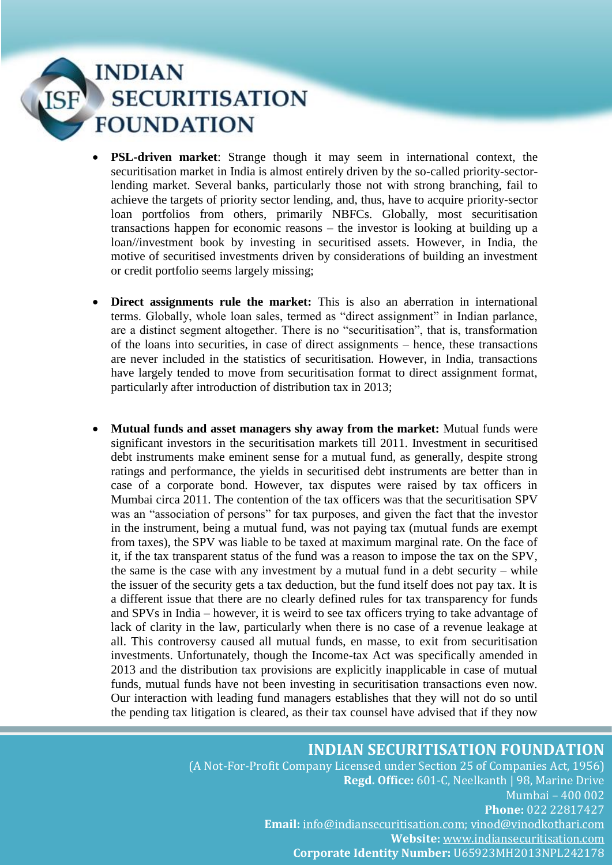- **PSL-driven market**: Strange though it may seem in international context, the securitisation market in India is almost entirely driven by the so-called priority-sectorlending market. Several banks, particularly those not with strong branching, fail to achieve the targets of priority sector lending, and, thus, have to acquire priority-sector loan portfolios from others, primarily NBFCs. Globally, most securitisation transactions happen for economic reasons – the investor is looking at building up a loan//investment book by investing in securitised assets. However, in India, the motive of securitised investments driven by considerations of building an investment or credit portfolio seems largely missing;
- **Direct assignments rule the market:** This is also an aberration in international terms. Globally, whole loan sales, termed as "direct assignment" in Indian parlance, are a distinct segment altogether. There is no "securitisation", that is, transformation of the loans into securities, in case of direct assignments – hence, these transactions are never included in the statistics of securitisation. However, in India, transactions have largely tended to move from securitisation format to direct assignment format, particularly after introduction of distribution tax in 2013;
- **Mutual funds and asset managers shy away from the market:** Mutual funds were significant investors in the securitisation markets till 2011. Investment in securitised debt instruments make eminent sense for a mutual fund, as generally, despite strong ratings and performance, the yields in securitised debt instruments are better than in case of a corporate bond. However, tax disputes were raised by tax officers in Mumbai circa 2011. The contention of the tax officers was that the securitisation SPV was an "association of persons" for tax purposes, and given the fact that the investor in the instrument, being a mutual fund, was not paying tax (mutual funds are exempt from taxes), the SPV was liable to be taxed at maximum marginal rate. On the face of it, if the tax transparent status of the fund was a reason to impose the tax on the SPV, the same is the case with any investment by a mutual fund in a debt security – while the issuer of the security gets a tax deduction, but the fund itself does not pay tax. It is a different issue that there are no clearly defined rules for tax transparency for funds and SPVs in India – however, it is weird to see tax officers trying to take advantage of lack of clarity in the law, particularly when there is no case of a revenue leakage at all. This controversy caused all mutual funds, en masse, to exit from securitisation investments. Unfortunately, though the Income-tax Act was specifically amended in 2013 and the distribution tax provisions are explicitly inapplicable in case of mutual funds, mutual funds have not been investing in securitisation transactions even now. Our interaction with leading fund managers establishes that they will not do so until the pending tax litigation is cleared, as their tax counsel have advised that if they now

### **INDIAN SECURITISATION FOUNDATION**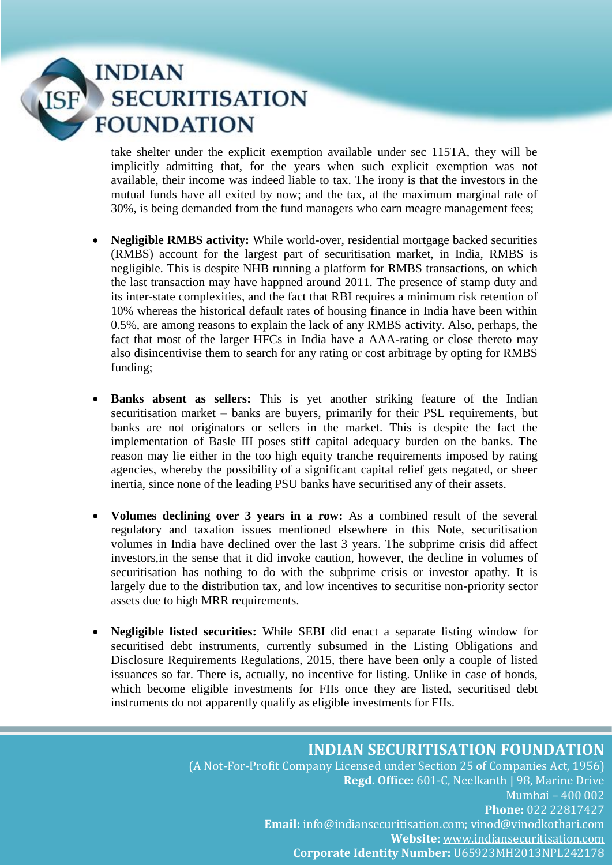take shelter under the explicit exemption available under sec 115TA, they will be implicitly admitting that, for the years when such explicit exemption was not available, their income was indeed liable to tax. The irony is that the investors in the mutual funds have all exited by now; and the tax, at the maximum marginal rate of 30%, is being demanded from the fund managers who earn meagre management fees;

- **Negligible RMBS activity:** While world-over, residential mortgage backed securities (RMBS) account for the largest part of securitisation market, in India, RMBS is negligible. This is despite NHB running a platform for RMBS transactions, on which the last transaction may have happned around 2011. The presence of stamp duty and its inter-state complexities, and the fact that RBI requires a minimum risk retention of 10% whereas the historical default rates of housing finance in India have been within 0.5%, are among reasons to explain the lack of any RMBS activity. Also, perhaps, the fact that most of the larger HFCs in India have a AAA-rating or close thereto may also disincentivise them to search for any rating or cost arbitrage by opting for RMBS funding;
- **Banks absent as sellers:** This is yet another striking feature of the Indian securitisation market – banks are buyers, primarily for their PSL requirements, but banks are not originators or sellers in the market. This is despite the fact the implementation of Basle III poses stiff capital adequacy burden on the banks. The reason may lie either in the too high equity tranche requirements imposed by rating agencies, whereby the possibility of a significant capital relief gets negated, or sheer inertia, since none of the leading PSU banks have securitised any of their assets.
- **Volumes declining over 3 years in a row:** As a combined result of the several regulatory and taxation issues mentioned elsewhere in this Note, securitisation volumes in India have declined over the last 3 years. The subprime crisis did affect investors,in the sense that it did invoke caution, however, the decline in volumes of securitisation has nothing to do with the subprime crisis or investor apathy. It is largely due to the distribution tax, and low incentives to securitise non-priority sector assets due to high MRR requirements.
- **Negligible listed securities:** While SEBI did enact a separate listing window for securitised debt instruments, currently subsumed in the Listing Obligations and Disclosure Requirements Regulations, 2015, there have been only a couple of listed issuances so far. There is, actually, no incentive for listing. Unlike in case of bonds, which become eligible investments for FIIs once they are listed, securitised debt instruments do not apparently qualify as eligible investments for FIIs.

### **INDIAN SECURITISATION FOUNDATION**